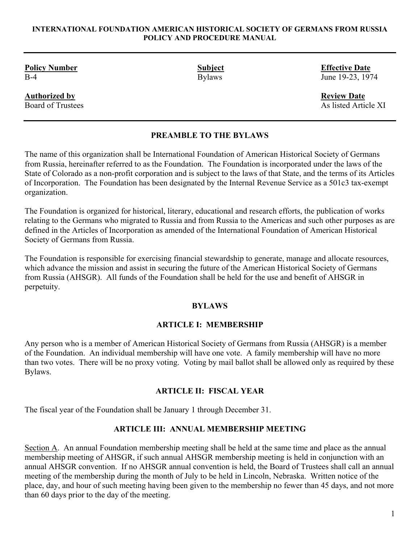#### **INTERNATIONAL FOUNDATION AMERICAN HISTORICAL SOCIETY OF GERMANS FROM RUSSIA POLICY AND PROCEDURE MANUAL**

**Policy Number 5 and 2018 Contract Subject** Effective Date **Contract Policy Number** 

**Authorized by Review Date Review Date Review Date Review Date Review Date Review Date Review Date Review Date Review Date Review Date Review Date** *Review Date Review Date Review Date Revi* 

B-4 **Bylaws Bylaws** June 19-23, 1974

As listed Article XI

## **PREAMBLE TO THE BYLAWS**

The name of this organization shall be International Foundation of American Historical Society of Germans from Russia, hereinafter referred to as the Foundation. The Foundation is incorporated under the laws of the State of Colorado as a non-profit corporation and is subject to the laws of that State, and the terms of its Articles of Incorporation. The Foundation has been designated by the Internal Revenue Service as a 501c3 tax-exempt organization.

The Foundation is organized for historical, literary, educational and research efforts, the publication of works relating to the Germans who migrated to Russia and from Russia to the Americas and such other purposes as are defined in the Articles of Incorporation as amended of the International Foundation of American Historical Society of Germans from Russia.

The Foundation is responsible for exercising financial stewardship to generate, manage and allocate resources, which advance the mission and assist in securing the future of the American Historical Society of Germans from Russia (AHSGR). All funds of the Foundation shall be held for the use and benefit of AHSGR in perpetuity.

### **BYLAWS**

### **ARTICLE I: MEMBERSHIP**

Any person who is a member of American Historical Society of Germans from Russia (AHSGR) is a member of the Foundation. An individual membership will have one vote. A family membership will have no more than two votes. There will be no proxy voting. Voting by mail ballot shall be allowed only as required by these Bylaws.

#### **ARTICLE II: FISCAL YEAR**

The fiscal year of the Foundation shall be January 1 through December 31.

### **ARTICLE III: ANNUAL MEMBERSHIP MEETING**

Section A. An annual Foundation membership meeting shall be held at the same time and place as the annual membership meeting of AHSGR, if such annual AHSGR membership meeting is held in conjunction with an annual AHSGR convention. If no AHSGR annual convention is held, the Board of Trustees shall call an annual meeting of the membership during the month of July to be held in Lincoln, Nebraska. Written notice of the place, day, and hour of such meeting having been given to the membership no fewer than 45 days, and not more than 60 days prior to the day of the meeting.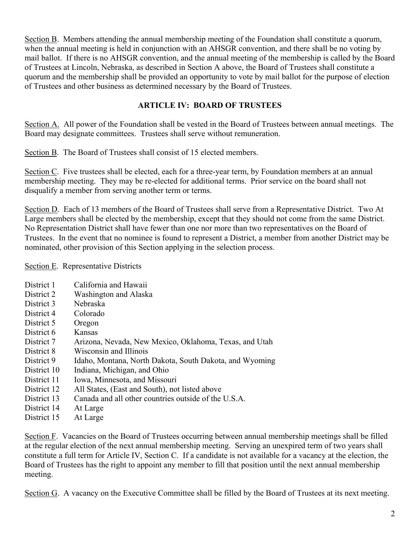Section B. Members attending the annual membership meeting of the Foundation shall constitute a quorum, when the annual meeting is held in conjunction with an AHSGR convention, and there shall be no voting by mail ballot. If there is no AHSGR convention, and the annual meeting of the membership is called by the Board of Trustees at Lincoln, Nebraska, as described in Section A above, the Board of Trustees shall constitute a quorum and the membership shall be provided an opportunity to vote by mail ballot for the purpose of election of Trustees and other business as determined necessary by the Board of Trustees.

## **ARTICLE IV: BOARD OF TRUSTEES**

Section A. All power of the Foundation shall be vested in the Board of Trustees between annual meetings. The Board may designate committees. Trustees shall serve without remuneration.

Section B. The Board of Trustees shall consist of 15 elected members.

Section C. Five trustees shall be elected, each for a three-year term, by Foundation members at an annual membership meeting. They may be re-elected for additional terms. Prior service on the board shall not disqualify a member from serving another term or terms.

Section D. Each of 13 members of the Board of Trustees shall serve from a Representative District. Two At Large members shall be elected by the membership, except that they should not come from the same District. No Representation District shall have fewer than one nor more than two representatives on the Board of Trustees. In the event that no nominee is found to represent a District, a member from another District may be nominated, other provision of this Section applying in the selection process.

Section E. Representative Districts

- District 1 California and Hawaii
- District 2 Washington and Alaska
- District 3 Nebraska
- District 4 Colorado
- District 5 Oregon
- District 6 Kansas
- District 7 Arizona, Nevada, New Mexico, Oklahoma, Texas, and Utah
- District 8 Wisconsin and Illinois
- District 9 Idaho, Montana, North Dakota, South Dakota, and Wyoming
- District 10 Indiana, Michigan, and Ohio
- District 11 Iowa, Minnesota, and Missouri
- District 12 All States, (East and South), not listed above
- District 13 Canada and all other countries outside of the U.S.A.
- District 14 At Large
- District 15 At Large

Section F. Vacancies on the Board of Trustees occurring between annual membership meetings shall be filled at the regular election of the next annual membership meeting. Serving an unexpired term of two years shall constitute a full term for Article IV, Section C. If a candidate is not available for a vacancy at the election, the Board of Trustees has the right to appoint any member to fill that position until the next annual membership meeting.

Section G. A vacancy on the Executive Committee shall be filled by the Board of Trustees at its next meeting.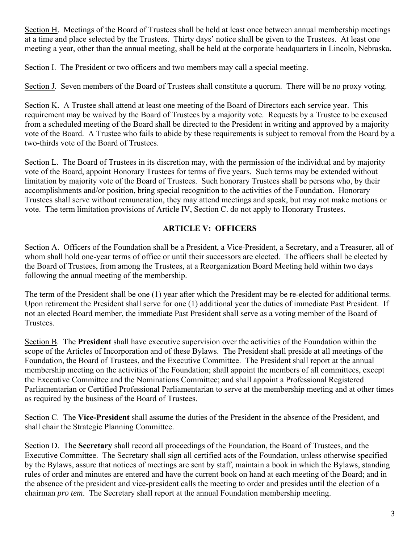Section H. Meetings of the Board of Trustees shall be held at least once between annual membership meetings at a time and place selected by the Trustees. Thirty days' notice shall be given to the Trustees. At least one meeting a year, other than the annual meeting, shall be held at the corporate headquarters in Lincoln, Nebraska.

Section I. The President or two officers and two members may call a special meeting.

Section J. Seven members of the Board of Trustees shall constitute a quorum. There will be no proxy voting.

Section K. A Trustee shall attend at least one meeting of the Board of Directors each service year. This requirement may be waived by the Board of Trustees by a majority vote. Requests by a Trustee to be excused from a scheduled meeting of the Board shall be directed to the President in writing and approved by a majority vote of the Board. A Trustee who fails to abide by these requirements is subject to removal from the Board by a two-thirds vote of the Board of Trustees.

Section L. The Board of Trustees in its discretion may, with the permission of the individual and by majority vote of the Board, appoint Honorary Trustees for terms of five years. Such terms may be extended without limitation by majority vote of the Board of Trustees. Such honorary Trustees shall be persons who, by their accomplishments and/or position, bring special recognition to the activities of the Foundation. Honorary Trustees shall serve without remuneration, they may attend meetings and speak, but may not make motions or vote. The term limitation provisions of Article IV, Section C. do not apply to Honorary Trustees.

## **ARTICLE V: OFFICERS**

Section A. Officers of the Foundation shall be a President, a Vice-President, a Secretary, and a Treasurer, all of whom shall hold one-year terms of office or until their successors are elected. The officers shall be elected by the Board of Trustees, from among the Trustees, at a Reorganization Board Meeting held within two days following the annual meeting of the membership.

The term of the President shall be one (1) year after which the President may be re-elected for additional terms. Upon retirement the President shall serve for one (1) additional year the duties of immediate Past President. If not an elected Board member, the immediate Past President shall serve as a voting member of the Board of Trustees.

Section B. The **President** shall have executive supervision over the activities of the Foundation within the scope of the Articles of Incorporation and of these Bylaws. The President shall preside at all meetings of the Foundation, the Board of Trustees, and the Executive Committee. The President shall report at the annual membership meeting on the activities of the Foundation; shall appoint the members of all committees, except the Executive Committee and the Nominations Committee; and shall appoint a Professional Registered Parliamentarian or Certified Professional Parliamentarian to serve at the membership meeting and at other times as required by the business of the Board of Trustees.

Section C. The **Vice-President** shall assume the duties of the President in the absence of the President, and shall chair the Strategic Planning Committee.

Section D. The **Secretary** shall record all proceedings of the Foundation, the Board of Trustees, and the Executive Committee. The Secretary shall sign all certified acts of the Foundation, unless otherwise specified by the Bylaws, assure that notices of meetings are sent by staff, maintain a book in which the Bylaws, standing rules of order and minutes are entered and have the current book on hand at each meeting of the Board; and in the absence of the president and vice-president calls the meeting to order and presides until the election of a chairman *pro tem*. The Secretary shall report at the annual Foundation membership meeting.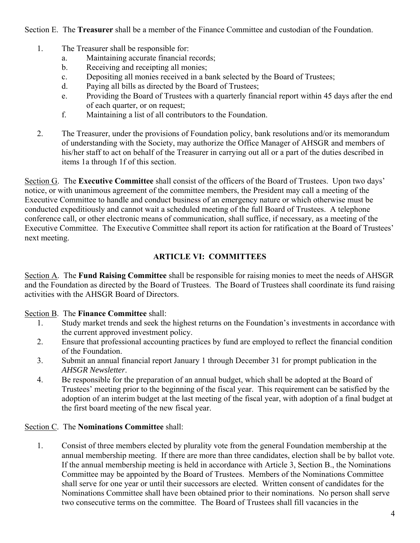Section E. The **Treasurer** shall be a member of the Finance Committee and custodian of the Foundation.

- 1. The Treasurer shall be responsible for:
	- a. Maintaining accurate financial records;
	- b. Receiving and receipting all monies;
	- c. Depositing all monies received in a bank selected by the Board of Trustees;
	- d. Paying all bills as directed by the Board of Trustees;
	- e. Providing the Board of Trustees with a quarterly financial report within 45 days after the end of each quarter, or on request;
	- f. Maintaining a list of all contributors to the Foundation.
- 2. The Treasurer, under the provisions of Foundation policy, bank resolutions and/or its memorandum of understanding with the Society, may authorize the Office Manager of AHSGR and members of his/her staff to act on behalf of the Treasurer in carrying out all or a part of the duties described in items 1a through 1f of this section.

Section G. The **Executive Committee** shall consist of the officers of the Board of Trustees. Upon two days' notice, or with unanimous agreement of the committee members, the President may call a meeting of the Executive Committee to handle and conduct business of an emergency nature or which otherwise must be conducted expeditiously and cannot wait a scheduled meeting of the full Board of Trustees. A telephone conference call, or other electronic means of communication, shall suffice, if necessary, as a meeting of the Executive Committee. The Executive Committee shall report its action for ratification at the Board of Trustees' next meeting.

## **ARTICLE VI: COMMITTEES**

Section A. The **Fund Raising Committee** shall be responsible for raising monies to meet the needs of AHSGR and the Foundation as directed by the Board of Trustees. The Board of Trustees shall coordinate its fund raising activities with the AHSGR Board of Directors.

## Section B. The **Finance Committee** shall:

- 1. Study market trends and seek the highest returns on the Foundation's investments in accordance with the current approved investment policy.
- 2. Ensure that professional accounting practices by fund are employed to reflect the financial condition of the Foundation.
- 3. Submit an annual financial report January 1 through December 31 for prompt publication in the *AHSGR Newsletter*.
- 4. Be responsible for the preparation of an annual budget, which shall be adopted at the Board of Trustees' meeting prior to the beginning of the fiscal year. This requirement can be satisfied by the adoption of an interim budget at the last meeting of the fiscal year, with adoption of a final budget at the first board meeting of the new fiscal year.

## Section C. The **Nominations Committee** shall:

1. Consist of three members elected by plurality vote from the general Foundation membership at the annual membership meeting. If there are more than three candidates, election shall be by ballot vote. If the annual membership meeting is held in accordance with Article 3, Section B., the Nominations Committee may be appointed by the Board of Trustees. Members of the Nominations Committee shall serve for one year or until their successors are elected. Written consent of candidates for the Nominations Committee shall have been obtained prior to their nominations. No person shall serve two consecutive terms on the committee. The Board of Trustees shall fill vacancies in the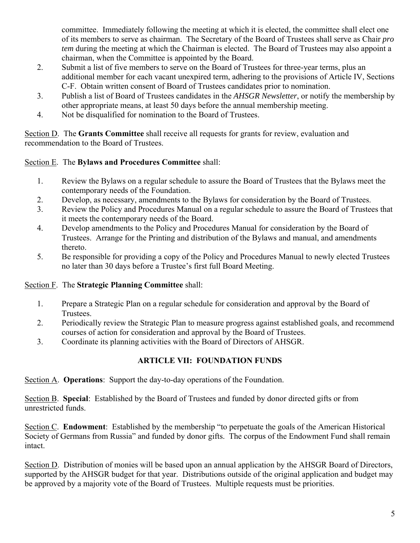committee. Immediately following the meeting at which it is elected, the committee shall elect one of its members to serve as chairman. The Secretary of the Board of Trustees shall serve as Chair *pro tem* during the meeting at which the Chairman is elected. The Board of Trustees may also appoint a chairman, when the Committee is appointed by the Board.

- 2. Submit a list of five members to serve on the Board of Trustees for three-year terms, plus an additional member for each vacant unexpired term, adhering to the provisions of Article IV, Sections C-F. Obtain written consent of Board of Trustees candidates prior to nomination.
- 3. Publish a list of Board of Trustees candidates in the *AHSGR Newsletter*, or notify the membership by other appropriate means, at least 50 days before the annual membership meeting.
- 4. Not be disqualified for nomination to the Board of Trustees.

Section D. The **Grants Committee** shall receive all requests for grants for review, evaluation and recommendation to the Board of Trustees.

## Section E. The **Bylaws and Procedures Committee** shall:

- 1. Review the Bylaws on a regular schedule to assure the Board of Trustees that the Bylaws meet the contemporary needs of the Foundation.
- 2. Develop, as necessary, amendments to the Bylaws for consideration by the Board of Trustees.
- 3. Review the Policy and Procedures Manual on a regular schedule to assure the Board of Trustees that it meets the contemporary needs of the Board.
- 4. Develop amendments to the Policy and Procedures Manual for consideration by the Board of Trustees. Arrange for the Printing and distribution of the Bylaws and manual, and amendments thereto.
- 5. Be responsible for providing a copy of the Policy and Procedures Manual to newly elected Trustees no later than 30 days before a Trustee's first full Board Meeting.

## Section F. The **Strategic Planning Committee** shall:

- 1. Prepare a Strategic Plan on a regular schedule for consideration and approval by the Board of Trustees.
- 2. Periodically review the Strategic Plan to measure progress against established goals, and recommend courses of action for consideration and approval by the Board of Trustees.
- 3. Coordinate its planning activities with the Board of Directors of AHSGR.

# **ARTICLE VII: FOUNDATION FUNDS**

Section A. **Operations**: Support the day-to-day operations of the Foundation.

Section B. **Special**: Established by the Board of Trustees and funded by donor directed gifts or from unrestricted funds.

Section C. **Endowment**: Established by the membership "to perpetuate the goals of the American Historical Society of Germans from Russia" and funded by donor gifts. The corpus of the Endowment Fund shall remain intact.

Section D. Distribution of monies will be based upon an annual application by the AHSGR Board of Directors, supported by the AHSGR budget for that year. Distributions outside of the original application and budget may be approved by a majority vote of the Board of Trustees. Multiple requests must be priorities.